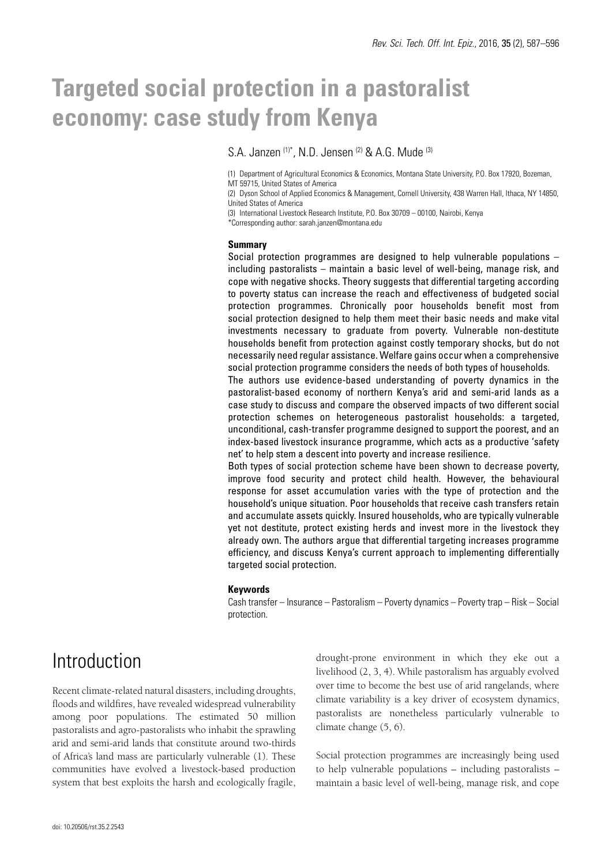# **Targeted social protection in a pastoralist economy: case study from Kenya**

S.A. Janzen <sup>(1)\*</sup>, N.D. Jensen <sup>(2)</sup> & A.G. Mude <sup>(3)</sup>

(1) Department of Agricultural Economics & Economics, Montana State University, P.O. Box 17920, Bozeman, MT 59715, United States of America

(2) Dyson School of Applied Economics & Management, Cornell University, 438 Warren Hall, Ithaca, NY 14850, United States of America

(3) International Livestock Research Institute, P.O. Box 30709 – 00100, Nairobi, Kenya

\*Corresponding author: sarah.janzen@montana.edu

#### **Summary**

Social protection programmes are designed to help vulnerable populations – including pastoralists – maintain a basic level of well-being, manage risk, and cope with negative shocks. Theory suggests that differential targeting according to poverty status can increase the reach and effectiveness of budgeted social protection programmes. Chronically poor households benefit most from social protection designed to help them meet their basic needs and make vital investments necessary to graduate from poverty. Vulnerable non-destitute households benefit from protection against costly temporary shocks, but do not necessarily need regular assistance. Welfare gains occur when a comprehensive social protection programme considers the needs of both types of households.

The authors use evidence-based understanding of poverty dynamics in the pastoralist-based economy of northern Kenya's arid and semi-arid lands as a case study to discuss and compare the observed impacts of two different social protection schemes on heterogeneous pastoralist households: a targeted, unconditional, cash-transfer programme designed to support the poorest, and an index-based livestock insurance programme, which acts as a productive 'safety net' to help stem a descent into poverty and increase resilience.

Both types of social protection scheme have been shown to decrease poverty, improve food security and protect child health. However, the behavioural response for asset accumulation varies with the type of protection and the household's unique situation. Poor households that receive cash transfers retain and accumulate assets quickly. Insured households, who are typically vulnerable yet not destitute, protect existing herds and invest more in the livestock they already own. The authors argue that differential targeting increases programme efficiency, and discuss Kenya's current approach to implementing differentially targeted social protection.

#### **Keywords**

Cash transfer – Insurance – Pastoralism – Poverty dynamics – Poverty trap – Risk – Social protection.

### Introduction

Recent climate-related natural disasters, including droughts, floods and wildfires, have revealed widespread vulnerability among poor populations. The estimated 50 million pastoralists and agro-pastoralists who inhabit the sprawling arid and semi-arid lands that constitute around two-thirds of Africa's land mass are particularly vulnerable (1). These communities have evolved a livestock-based production system that best exploits the harsh and ecologically fragile,

drought-prone environment in which they eke out a livelihood (2, 3, 4). While pastoralism has arguably evolved over time to become the best use of arid rangelands, where climate variability is a key driver of ecosystem dynamics, pastoralists are nonetheless particularly vulnerable to climate change (5, 6).

Social protection programmes are increasingly being used to help vulnerable populations – including pastoralists – maintain a basic level of well-being, manage risk, and cope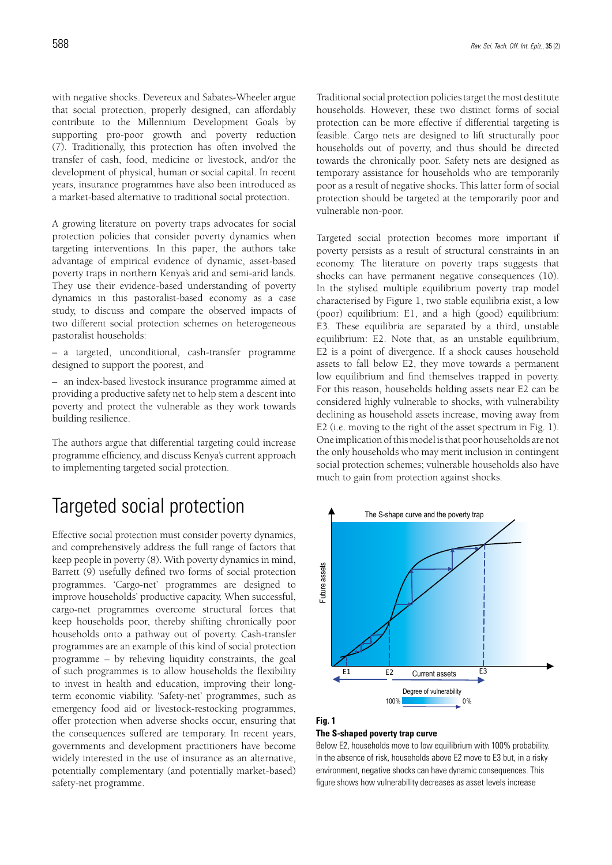with negative shocks. Devereux and Sabates-Wheeler argue that social protection, properly designed, can affordably contribute to the Millennium Development Goals by supporting pro-poor growth and poverty reduction (7). Traditionally, this protection has often involved the transfer of cash, food, medicine or livestock, and/or the development of physical, human or social capital. In recent years, insurance programmes have also been introduced as a market-based alternative to traditional social protection.

A growing literature on poverty traps advocates for social protection policies that consider poverty dynamics when targeting interventions. In this paper, the authors take advantage of empirical evidence of dynamic, asset-based poverty traps in northern Kenya's arid and semi-arid lands. They use their evidence-based understanding of poverty dynamics in this pastoralist-based economy as a case study, to discuss and compare the observed impacts of two different social protection schemes on heterogeneous pastoralist households:

– a targeted, unconditional, cash-transfer programme designed to support the poorest, and

– an index-based livestock insurance programme aimed at providing a productive safety net to help stem a descent into poverty and protect the vulnerable as they work towards building resilience.

The authors argue that differential targeting could increase programme efficiency, and discuss Kenya's current approach to implementing targeted social protection.

# Targeted social protection

Effective social protection must consider poverty dynamics, and comprehensively address the full range of factors that keep people in poverty (8). With poverty dynamics in mind, Barrett (9) usefully defined two forms of social protection programmes. 'Cargo-net' programmes are designed to improve households' productive capacity. When successful, cargo-net programmes overcome structural forces that keep households poor, thereby shifting chronically poor households onto a pathway out of poverty. Cash-transfer programmes are an example of this kind of social protection programme – by relieving liquidity constraints, the goal of such programmes is to allow households the flexibility to invest in health and education, improving their longterm economic viability. 'Safety-net' programmes, such as emergency food aid or livestock-restocking programmes, offer protection when adverse shocks occur, ensuring that the consequences suffered are temporary. In recent years, governments and development practitioners have become widely interested in the use of insurance as an alternative, potentially complementary (and potentially market-based) safety-net programme.

Traditional social protection policies target the most destitute households. However, these two distinct forms of social protection can be more effective if differential targeting is feasible. Cargo nets are designed to lift structurally poor households out of poverty, and thus should be directed towards the chronically poor. Safety nets are designed as temporary assistance for households who are temporarily poor as a result of negative shocks. This latter form of social protection should be targeted at the temporarily poor and vulnerable non-poor.

Targeted social protection becomes more important if poverty persists as a result of structural constraints in an economy. The literature on poverty traps suggests that shocks can have permanent negative consequences (10). In the stylised multiple equilibrium poverty trap model characterised by Figure 1, two stable equilibria exist, a low (poor) equilibrium: E1, and a high (good) equilibrium: E3. These equilibria are separated by a third, unstable equilibrium: E2. Note that, as an unstable equilibrium, E2 is a point of divergence. If a shock causes household assets to fall below E2, they move towards a permanent low equilibrium and find themselves trapped in poverty. For this reason, households holding assets near E2 can be considered highly vulnerable to shocks, with vulnerability declining as household assets increase, moving away from E2 (i.e. moving to the right of the asset spectrum in Fig. 1). One implication of this model is that poor households are not the only households who may merit inclusion in contingent social protection schemes; vulnerable households also have much to gain from protection against shocks.



#### **Fig. 1**

#### **The S-shaped poverty trap curve**

Below E2, households move to low equilibrium with 100% probability. In the absence of risk, households above E2 move to E3 but, in a risky environment, negative shocks can have dynamic consequences. This figure shows how vulnerability decreases as asset levels increase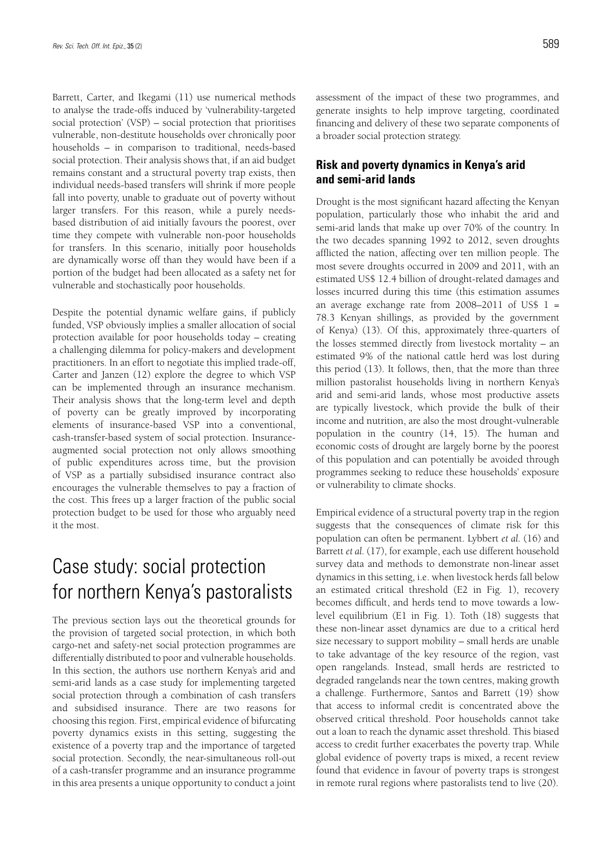Barrett, Carter, and Ikegami (11) use numerical methods to analyse the trade-offs induced by 'vulnerability-targeted social protection' (VSP) – social protection that prioritises vulnerable, non-destitute households over chronically poor households – in comparison to traditional, needs-based social protection. Their analysis shows that, if an aid budget remains constant and a structural poverty trap exists, then individual needs-based transfers will shrink if more people fall into poverty, unable to graduate out of poverty without larger transfers. For this reason, while a purely needsbased distribution of aid initially favours the poorest, over time they compete with vulnerable non-poor households for transfers. In this scenario, initially poor households are dynamically worse off than they would have been if a portion of the budget had been allocated as a safety net for vulnerable and stochastically poor households.

Despite the potential dynamic welfare gains, if publicly funded, VSP obviously implies a smaller allocation of social protection available for poor households today – creating a challenging dilemma for policy-makers and development practitioners. In an effort to negotiate this implied trade-off, Carter and Janzen (12) explore the degree to which VSP can be implemented through an insurance mechanism. Their analysis shows that the long-term level and depth of poverty can be greatly improved by incorporating elements of insurance-based VSP into a conventional, cash-transfer-based system of social protection. Insuranceaugmented social protection not only allows smoothing of public expenditures across time, but the provision of VSP as a partially subsidised insurance contract also encourages the vulnerable themselves to pay a fraction of the cost. This frees up a larger fraction of the public social protection budget to be used for those who arguably need it the most.

# Case study: social protection for northern Kenya's pastoralists

The previous section lays out the theoretical grounds for the provision of targeted social protection, in which both cargo-net and safety-net social protection programmes are differentially distributed to poor and vulnerable households. In this section, the authors use northern Kenya's arid and semi-arid lands as a case study for implementing targeted social protection through a combination of cash transfers and subsidised insurance. There are two reasons for choosing this region. First, empirical evidence of bifurcating poverty dynamics exists in this setting, suggesting the existence of a poverty trap and the importance of targeted social protection. Secondly, the near-simultaneous roll-out of a cash-transfer programme and an insurance programme in this area presents a unique opportunity to conduct a joint assessment of the impact of these two programmes, and generate insights to help improve targeting, coordinated financing and delivery of these two separate components of a broader social protection strategy.

### **Risk and poverty dynamics in Kenya's arid and semi-arid lands**

Drought is the most significant hazard affecting the Kenyan population, particularly those who inhabit the arid and semi-arid lands that make up over 70% of the country. In the two decades spanning 1992 to 2012, seven droughts afflicted the nation, affecting over ten million people. The most severe droughts occurred in 2009 and 2011, with an estimated US\$ 12.4 billion of drought-related damages and losses incurred during this time (this estimation assumes an average exchange rate from  $2008-2011$  of US\$  $1 =$ 78.3 Kenyan shillings, as provided by the government of Kenya) (13). Of this, approximately three-quarters of the losses stemmed directly from livestock mortality – an estimated 9% of the national cattle herd was lost during this period (13). It follows, then, that the more than three million pastoralist households living in northern Kenya's arid and semi-arid lands, whose most productive assets are typically livestock, which provide the bulk of their income and nutrition, are also the most drought-vulnerable population in the country (14, 15). The human and economic costs of drought are largely borne by the poorest of this population and can potentially be avoided through programmes seeking to reduce these households' exposure or vulnerability to climate shocks.

Empirical evidence of a structural poverty trap in the region suggests that the consequences of climate risk for this population can often be permanent. Lybbert *et al.* (16) and Barrett *et al.* (17), for example, each use different household survey data and methods to demonstrate non-linear asset dynamics in this setting, i.e. when livestock herds fall below an estimated critical threshold (E2 in Fig. 1), recovery becomes difficult, and herds tend to move towards a lowlevel equilibrium (E1 in Fig. 1). Toth (18) suggests that these non-linear asset dynamics are due to a critical herd size necessary to support mobility – small herds are unable to take advantage of the key resource of the region, vast open rangelands. Instead, small herds are restricted to degraded rangelands near the town centres, making growth a challenge. Furthermore, Santos and Barrett (19) show that access to informal credit is concentrated above the observed critical threshold. Poor households cannot take out a loan to reach the dynamic asset threshold. This biased access to credit further exacerbates the poverty trap. While global evidence of poverty traps is mixed, a recent review found that evidence in favour of poverty traps is strongest in remote rural regions where pastoralists tend to live (20).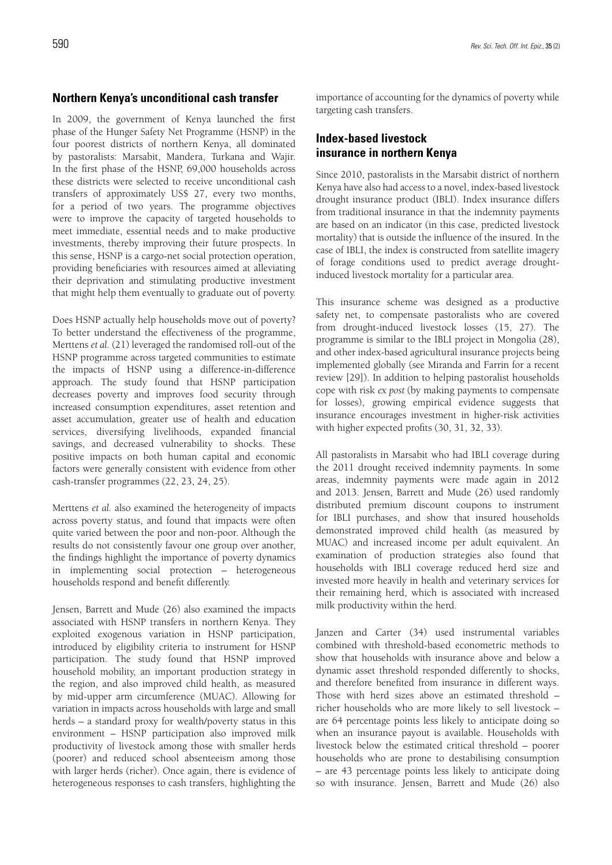### **Northern Kenya's unconditional cash transfer**

In 2009, the government of Kenya launched the first phase of the Hunger Safety Net Programme (HSNP) in the four poorest districts of northern Kenya, all dominated by pastoralists: Marsabit, Mandera, Turkana and Wajir. In the first phase of the HSNP, 69,000 households across these districts were selected to receive unconditional cash transfers of approximately US\$ 27, every two months, for a period of two years. The programme objectives were to improve the capacity of targeted households to meet immediate, essential needs and to make productive investments, thereby improving their future prospects. In this sense, HSNP is a cargo-net social protection operation, providing beneficiaries with resources aimed at alleviating their deprivation and stimulating productive investment that might help them eventually to graduate out of poverty.

Does HSNP actually help households move out of poverty? To better understand the effectiveness of the programme, Merttens *et al.* (21) leveraged the randomised roll-out of the HSNP programme across targeted communities to estimate the impacts of HSNP using a difference-in-difference approach. The study found that HSNP participation decreases poverty and improves food security through increased consumption expenditures, asset retention and asset accumulation, greater use of health and education services, diversifying livelihoods, expanded financial savings, and decreased vulnerability to shocks. These positive impacts on both human capital and economic factors were generally consistent with evidence from other cash-transfer programmes (22, 23, 24, 25).

Merttens *et al.* also examined the heterogeneity of impacts across poverty status, and found that impacts were often quite varied between the poor and non-poor. Although the results do not consistently favour one group over another, the findings highlight the importance of poverty dynamics in implementing social protection – heterogeneous households respond and benefit differently.

Jensen, Barrett and Mude (26) also examined the impacts associated with HSNP transfers in northern Kenya. They exploited exogenous variation in HSNP participation, introduced by eligibility criteria to instrument for HSNP participation. The study found that HSNP improved household mobility, an important production strategy in the region, and also improved child health, as measured by mid-upper arm circumference (MUAC). Allowing for variation in impacts across households with large and small herds – a standard proxy for wealth/poverty status in this environment – HSNP participation also improved milk productivity of livestock among those with smaller herds (poorer) and reduced school absenteeism among those with larger herds (richer). Once again, there is evidence of heterogeneous responses to cash transfers, highlighting the

importance of accounting for the dynamics of poverty while targeting cash transfers.

### **Index-based livestock insurance in northern Kenya**

Since 2010, pastoralists in the Marsabit district of northern Kenya have also had access to a novel, index-based livestock drought insurance product (IBLI). Index insurance differs from traditional insurance in that the indemnity payments are based on an indicator (in this case, predicted livestock mortality) that is outside the influence of the insured. In the case of IBLI, the index is constructed from satellite imagery of forage conditions used to predict average droughtinduced livestock mortality for a particular area.

This insurance scheme was designed as a productive safety net, to compensate pastoralists who are covered from drought-induced livestock losses (15, 27). The programme is similar to the IBLI project in Mongolia (28), and other index-based agricultural insurance projects being implemented globally (see Miranda and Farrin for a recent review [29]). In addition to helping pastoralist households cope with risk *ex post* (by making payments to compensate for losses), growing empirical evidence suggests that insurance encourages investment in higher-risk activities with higher expected profits (30, 31, 32, 33).

All pastoralists in Marsabit who had IBLI coverage during the 2011 drought received indemnity payments. In some areas, indemnity payments were made again in 2012 and 2013. Jensen, Barrett and Mude (26) used randomly distributed premium discount coupons to instrument for IBLI purchases, and show that insured households demonstrated improved child health (as measured by MUAC) and increased income per adult equivalent. An examination of production strategies also found that households with IBLI coverage reduced herd size and invested more heavily in health and veterinary services for their remaining herd, which is associated with increased milk productivity within the herd.

Janzen and Carter (34) used instrumental variables combined with threshold-based econometric methods to show that households with insurance above and below a dynamic asset threshold responded differently to shocks, and therefore benefited from insurance in different ways. Those with herd sizes above an estimated threshold – richer households who are more likely to sell livestock – are 64 percentage points less likely to anticipate doing so when an insurance payout is available. Households with livestock below the estimated critical threshold – poorer households who are prone to destabilising consumption – are 43 percentage points less likely to anticipate doing so with insurance. Jensen, Barrett and Mude (26) also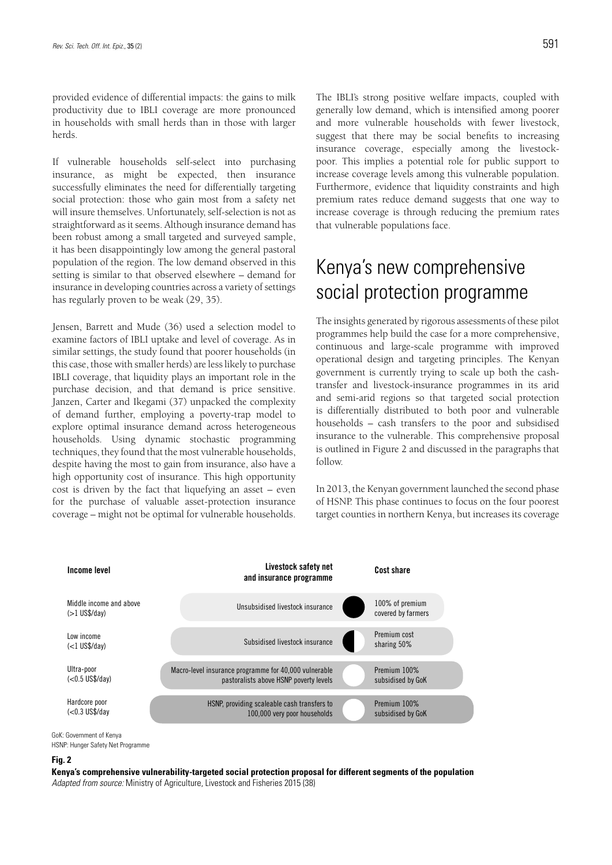provided evidence of differential impacts: the gains to milk productivity due to IBLI coverage are more pronounced in households with small herds than in those with larger herds.

If vulnerable households self-select into purchasing insurance, as might be expected, then insurance successfully eliminates the need for differentially targeting social protection: those who gain most from a safety net will insure themselves. Unfortunately, self-selection is not as straightforward as it seems. Although insurance demand has been robust among a small targeted and surveyed sample, it has been disappointingly low among the general pastoral population of the region. The low demand observed in this setting is similar to that observed elsewhere – demand for insurance in developing countries across a variety of settings has regularly proven to be weak (29, 35).

Jensen, Barrett and Mude (36) used a selection model to examine factors of IBLI uptake and level of coverage. As in similar settings, the study found that poorer households (in this case, those with smaller herds) are less likely to purchase IBLI coverage, that liquidity plays an important role in the purchase decision, and that demand is price sensitive. Janzen, Carter and Ikegami (37) unpacked the complexity of demand further, employing a poverty-trap model to explore optimal insurance demand across heterogeneous households. Using dynamic stochastic programming techniques, they found that the most vulnerable households, despite having the most to gain from insurance, also have a high opportunity cost of insurance. This high opportunity cost is driven by the fact that liquefying an asset – even for the purchase of valuable asset-protection insurance coverage – might not be optimal for vulnerable households.

The IBLI's strong positive welfare impacts, coupled with generally low demand, which is intensified among poorer and more vulnerable households with fewer livestock, suggest that there may be social benefits to increasing insurance coverage, especially among the livestockpoor. This implies a potential role for public support to increase coverage levels among this vulnerable population. Furthermore, evidence that liquidity constraints and high premium rates reduce demand suggests that one way to increase coverage is through reducing the premium rates that vulnerable populations face.

# Kenya's new comprehensive social protection programme

The insights generated by rigorous assessments of these pilot programmes help build the case for a more comprehensive, continuous and large-scale programme with improved operational design and targeting principles. The Kenyan government is currently trying to scale up both the cashtransfer and livestock-insurance programmes in its arid and semi-arid regions so that targeted social protection is differentially distributed to both poor and vulnerable households – cash transfers to the poor and subsidised insurance to the vulnerable. This comprehensive proposal is outlined in Figure 2 and discussed in the paragraphs that follow.

In 2013, the Kenyan government launched the second phase of HSNP. This phase continues to focus on the four poorest target counties in northern Kenya, but increases its coverage



GoK: Government of Kenya

HSNP: Hunger Safety Net Programme

#### **Fig. 2**

**Kenya's comprehensive vulnerability-targeted social protection proposal for different segments of the population** *Adapted from source:* Ministry of Agriculture, Livestock and Fisheries 2015 (38)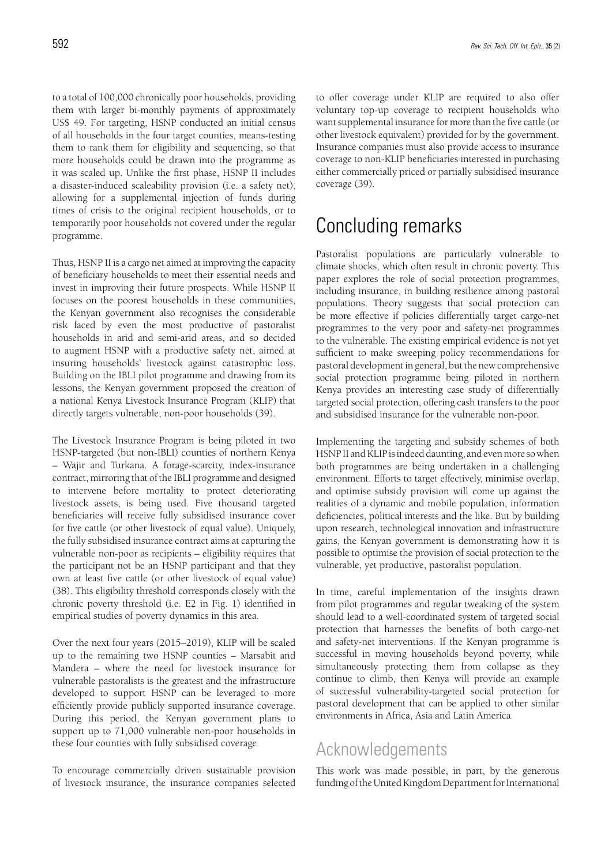programme.

to a total of 100,000 chronically poor households, providing them with larger bi-monthly payments of approximately US\$ 49. For targeting, HSNP conducted an initial census of all households in the four target counties, means-testing them to rank them for eligibility and sequencing, so that more households could be drawn into the programme as it was scaled up. Unlike the first phase, HSNP II includes a disaster-induced scaleability provision (i.e. a safety net), allowing for a supplemental injection of funds during times of crisis to the original recipient households, or to

Thus, HSNP II is a cargo net aimed at improving the capacity of beneficiary households to meet their essential needs and invest in improving their future prospects. While HSNP II focuses on the poorest households in these communities, the Kenyan government also recognises the considerable risk faced by even the most productive of pastoralist households in arid and semi-arid areas, and so decided to augment HSNP with a productive safety net, aimed at insuring households' livestock against catastrophic loss. Building on the IBLI pilot programme and drawing from its lessons, the Kenyan government proposed the creation of a national Kenya Livestock Insurance Program (KLIP) that directly targets vulnerable, non-poor households (39).

temporarily poor households not covered under the regular

The Livestock Insurance Program is being piloted in two HSNP-targeted (but non-IBLI) counties of northern Kenya – Wajir and Turkana. A forage-scarcity, index-insurance contract, mirroring that of the IBLI programme and designed to intervene before mortality to protect deteriorating livestock assets, is being used. Five thousand targeted beneficiaries will receive fully subsidised insurance cover for five cattle (or other livestock of equal value). Uniquely, the fully subsidised insurance contract aims at capturing the vulnerable non-poor as recipients – eligibility requires that the participant not be an HSNP participant and that they own at least five cattle (or other livestock of equal value) (38). This eligibility threshold corresponds closely with the chronic poverty threshold (i.e. E2 in Fig. 1) identified in empirical studies of poverty dynamics in this area.

Over the next four years (2015–2019), KLIP will be scaled up to the remaining two HSNP counties – Marsabit and Mandera – where the need for livestock insurance for vulnerable pastoralists is the greatest and the infrastructure developed to support HSNP can be leveraged to more efficiently provide publicly supported insurance coverage. During this period, the Kenyan government plans to support up to 71,000 vulnerable non-poor households in these four counties with fully subsidised coverage.

To encourage commercially driven sustainable provision of livestock insurance, the insurance companies selected to offer coverage under KLIP are required to also offer voluntary top-up coverage to recipient households who want supplemental insurance for more than the five cattle (or other livestock equivalent) provided for by the government. Insurance companies must also provide access to insurance coverage to non-KLIP beneficiaries interested in purchasing either commercially priced or partially subsidised insurance coverage (39).

## Concluding remarks

Pastoralist populations are particularly vulnerable to climate shocks, which often result in chronic poverty. This paper explores the role of social protection programmes, including insurance, in building resilience among pastoral populations. Theory suggests that social protection can be more effective if policies differentially target cargo-net programmes to the very poor and safety-net programmes to the vulnerable. The existing empirical evidence is not yet sufficient to make sweeping policy recommendations for pastoral development in general, but the new comprehensive social protection programme being piloted in northern Kenya provides an interesting case study of differentially targeted social protection, offering cash transfers to the poor and subsidised insurance for the vulnerable non-poor.

Implementing the targeting and subsidy schemes of both HSNP II and KLIP is indeed daunting, and even more so when both programmes are being undertaken in a challenging environment. Efforts to target effectively, minimise overlap, and optimise subsidy provision will come up against the realities of a dynamic and mobile population, information deficiencies, political interests and the like. But by building upon research, technological innovation and infrastructure gains, the Kenyan government is demonstrating how it is possible to optimise the provision of social protection to the vulnerable, yet productive, pastoralist population.

In time, careful implementation of the insights drawn from pilot programmes and regular tweaking of the system should lead to a well-coordinated system of targeted social protection that harnesses the benefits of both cargo-net and safety-net interventions. If the Kenyan programme is successful in moving households beyond poverty, while simultaneously protecting them from collapse as they continue to climb, then Kenya will provide an example of successful vulnerability-targeted social protection for pastoral development that can be applied to other similar environments in Africa, Asia and Latin America.

### Acknowledgements

This work was made possible, in part, by the generous funding of the United Kingdom Department for International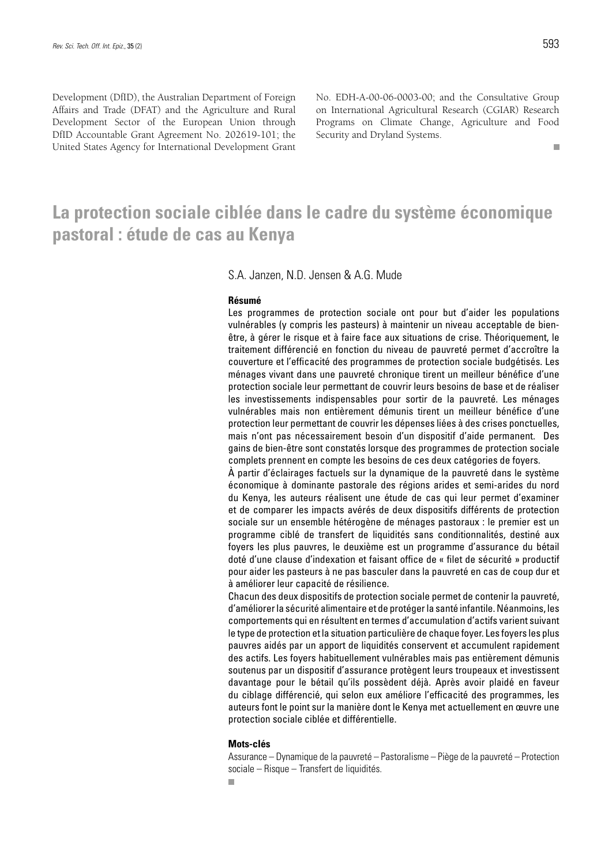$\mathbf{r}$ 

Development (DfID), the Australian Department of Foreign Affairs and Trade (DFAT) and the Agriculture and Rural Development Sector of the European Union through DfID Accountable Grant Agreement No. 202619-101; the United States Agency for International Development Grant No. EDH-A-00-06-0003-00; and the Consultative Group on International Agricultural Research (CGIAR) Research Programs on Climate Change, Agriculture and Food Security and Dryland Systems.

### **La protection sociale ciblée dans le cadre du système économique pastoral : étude de cas au Kenya**

### S.A. Janzen, N.D. Jensen & A.G. Mude

#### **Résumé**

Les programmes de protection sociale ont pour but d'aider les populations vulnérables (y compris les pasteurs) à maintenir un niveau acceptable de bienêtre, à gérer le risque et à faire face aux situations de crise. Théoriquement, le traitement différencié en fonction du niveau de pauvreté permet d'accroître la couverture et l'efficacité des programmes de protection sociale budgétisés. Les ménages vivant dans une pauvreté chronique tirent un meilleur bénéfice d'une protection sociale leur permettant de couvrir leurs besoins de base et de réaliser les investissements indispensables pour sortir de la pauvreté. Les ménages vulnérables mais non entièrement démunis tirent un meilleur bénéfice d'une protection leur permettant de couvrir les dépenses liées à des crises ponctuelles, mais n'ont pas nécessairement besoin d'un dispositif d'aide permanent. Des gains de bien-être sont constatés lorsque des programmes de protection sociale complets prennent en compte les besoins de ces deux catégories de foyers.

À partir d'éclairages factuels sur la dynamique de la pauvreté dans le système économique à dominante pastorale des régions arides et semi-arides du nord du Kenya, les auteurs réalisent une étude de cas qui leur permet d'examiner et de comparer les impacts avérés de deux dispositifs différents de protection sociale sur un ensemble hétérogène de ménages pastoraux : le premier est un programme ciblé de transfert de liquidités sans conditionnalités, destiné aux foyers les plus pauvres, le deuxième est un programme d'assurance du bétail doté d'une clause d'indexation et faisant office de « filet de sécurité » productif pour aider les pasteurs à ne pas basculer dans la pauvreté en cas de coup dur et à améliorer leur capacité de résilience.

Chacun des deux dispositifs de protection sociale permet de contenir la pauvreté, d'améliorer la sécurité alimentaire et de protéger la santé infantile. Néanmoins, les comportements qui en résultent en termes d'accumulation d'actifs varient suivant le type de protection et la situation particulière de chaque foyer. Les foyers les plus pauvres aidés par un apport de liquidités conservent et accumulent rapidement des actifs. Les foyers habituellement vulnérables mais pas entièrement démunis soutenus par un dispositif d'assurance protègent leurs troupeaux et investissent davantage pour le bétail qu'ils possèdent déjà. Après avoir plaidé en faveur du ciblage différencié, qui selon eux améliore l'efficacité des programmes, les auteurs font le point sur la manière dont le Kenya met actuellement en œuvre une protection sociale ciblée et différentielle.

#### **Mots-clés**

Assurance – Dynamique de la pauvreté – Pastoralisme – Piège de la pauvreté – Protection sociale – Risque – Transfert de liquidités.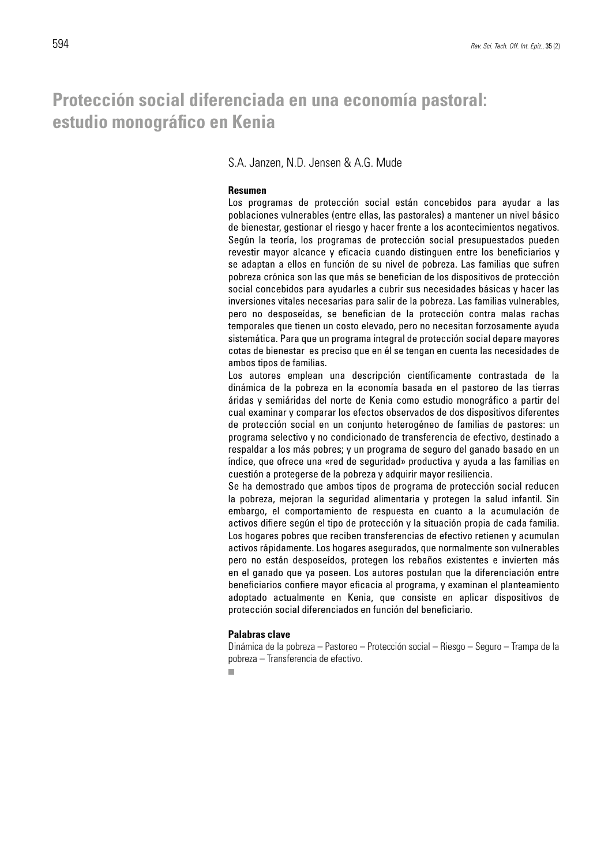### **Protección social diferenciada en una economía pastoral: estudio monográfico en Kenia**

S.A. Janzen, N.D. Jensen & A.G. Mude

#### **Resumen**

Los programas de protección social están concebidos para ayudar a las poblaciones vulnerables (entre ellas, las pastorales) a mantener un nivel básico de bienestar, gestionar el riesgo y hacer frente a los acontecimientos negativos. Según la teoría, los programas de protección social presupuestados pueden revestir mayor alcance y eficacia cuando distinguen entre los beneficiarios y se adaptan a ellos en función de su nivel de pobreza. Las familias que sufren pobreza crónica son las que más se benefician de los dispositivos de protección social concebidos para ayudarles a cubrir sus necesidades básicas y hacer las inversiones vitales necesarias para salir de la pobreza. Las familias vulnerables, pero no desposeídas, se benefician de la protección contra malas rachas temporales que tienen un costo elevado, pero no necesitan forzosamente ayuda sistemática. Para que un programa integral de protección social depare mayores cotas de bienestar es preciso que en él se tengan en cuenta las necesidades de ambos tipos de familias.

Los autores emplean una descripción científicamente contrastada de la dinámica de la pobreza en la economía basada en el pastoreo de las tierras áridas y semiáridas del norte de Kenia como estudio monográfico a partir del cual examinar y comparar los efectos observados de dos dispositivos diferentes de protección social en un conjunto heterogéneo de familias de pastores: un programa selectivo y no condicionado de transferencia de efectivo, destinado a respaldar a los más pobres; y un programa de seguro del ganado basado en un índice, que ofrece una «red de seguridad» productiva y ayuda a las familias en cuestión a protegerse de la pobreza y adquirir mayor resiliencia.

Se ha demostrado que ambos tipos de programa de protección social reducen la pobreza, mejoran la seguridad alimentaria y protegen la salud infantil. Sin embargo, el comportamiento de respuesta en cuanto a la acumulación de activos difiere según el tipo de protección y la situación propia de cada familia. Los hogares pobres que reciben transferencias de efectivo retienen y acumulan activos rápidamente. Los hogares asegurados, que normalmente son vulnerables pero no están desposeídos, protegen los rebaños existentes e invierten más en el ganado que ya poseen. Los autores postulan que la diferenciación entre beneficiarios confiere mayor eficacia al programa, y examinan el planteamiento adoptado actualmente en Kenia, que consiste en aplicar dispositivos de protección social diferenciados en función del beneficiario.

#### **Palabras clave**

Dinámica de la pobreza – Pastoreo – Protección social – Riesgo – Seguro – Trampa de la pobreza – Transferencia de efectivo.

 $\blacksquare$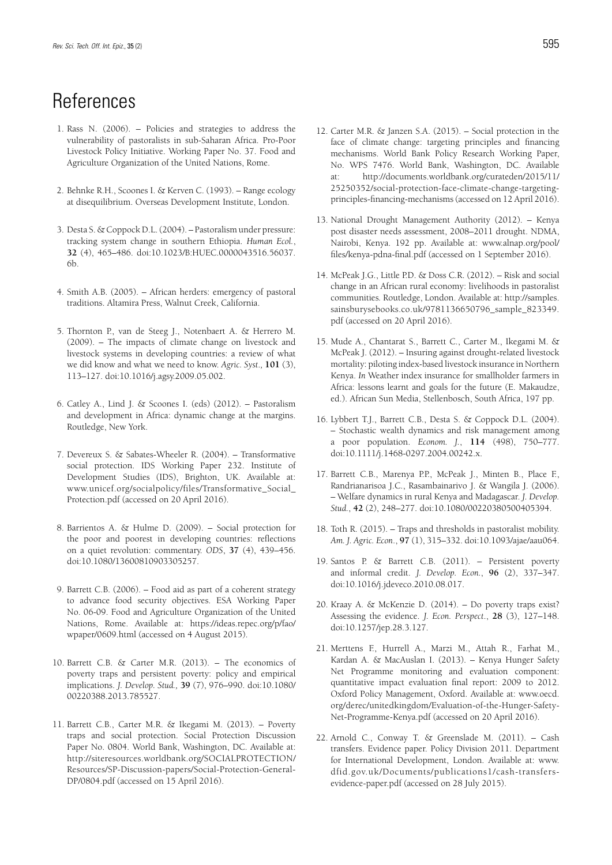## **References**

- 1. Rass N. (2006). Policies and strategies to address the vulnerability of pastoralists in sub-Saharan Africa. Pro-Poor Livestock Policy Initiative. Working Paper No. 37. Food and Agriculture Organization of the United Nations, Rome.
- 2. Behnke R.H., Scoones I. & Kerven C. (1993). Range ecology at disequilibrium. Overseas Development Institute, London.
- 3. Desta S. & Coppock D.L. (2004). Pastoralism under pressure: tracking system change in southern Ethiopia. *Human Ecol.*, **32** (4), 465–486. doi:10.1023/B:HUEC.0000043516.56037. 6b.
- 4. Smith A.B. (2005). African herders: emergency of pastoral traditions. Altamira Press, Walnut Creek, California.
- 5. Thornton P., van de Steeg J., Notenbaert A. & Herrero M. (2009). – The impacts of climate change on livestock and livestock systems in developing countries: a review of what we did know and what we need to know. *Agric. Syst*.*,* **101** (3), 113–127. doi:10.1016/j.agsy.2009.05.002.
- 6. Catley A., Lind J. & Scoones I. (eds) (2012). Pastoralism and development in Africa: dynamic change at the margins. Routledge, New York.
- 7. Devereux S. & Sabates-Wheeler R. (2004). Transformative social protection. IDS Working Paper 232. Institute of Development Studies (IDS), Brighton, UK. Available at: www.unicef.org/socialpolicy/files/Transformative\_Social\_ Protection.pdf (accessed on 20 April 2016).
- 8. Barrientos A. & Hulme D. (2009). Social protection for the poor and poorest in developing countries: reflections on a quiet revolution: commentary. *ODS*, **37** (4), 439–456. doi:10.1080/13600810903305257.
- 9. Barrett C.B. (2006). Food aid as part of a coherent strategy to advance food security objectives. ESA Working Paper No. 06-09. Food and Agriculture Organization of the United Nations, Rome. Available at: https://ideas.repec.org/p/fao/ wpaper/0609.html (accessed on 4 August 2015).
- 10. Barrett C.B. & Carter M.R. (2013). The economics of poverty traps and persistent poverty: policy and empirical implications. *J. Develop. Stud.,* **39** (7), 976–990. doi:10.1080/ 00220388.2013.785527.
- 11. Barrett C.B., Carter M.R. & Ikegami M. (2013). Poverty traps and social protection. Social Protection Discussion Paper No. 0804. World Bank, Washington, DC. Available at: http://siteresources.worldbank.org/SOCIALPROTECTION/ Resources/SP-Discussion-papers/Social-Protection-General-DP/0804.pdf (accessed on 15 April 2016).
- 12. Carter M.R. & Janzen S.A. (2015). Social protection in the face of climate change: targeting principles and financing mechanisms. World Bank Policy Research Working Paper, No. WPS 7476. World Bank, Washington, DC. Available at: http://documents.worldbank.org/curateden/2015/11/ 25250352/social-protection-face-climate-change-targetingprinciples-financing-mechanisms (accessed on 12 April 2016).
- 13. National Drought Management Authority (2012). Kenya post disaster needs assessment, 2008–2011 drought. NDMA, Nairobi, Kenya. 192 pp. Available at: www.alnap.org/pool/ files/kenya-pdna-final.pdf (accessed on 1 September 2016).
- 14. McPeak J.G., Little P.D. & Doss C.R. (2012). Risk and social change in an African rural economy: livelihoods in pastoralist communities*.* Routledge, London. Available at: http://samples. sainsburysebooks.co.uk/9781136650796\_sample\_823349. pdf (accessed on 20 April 2016).
- 15. Mude A., Chantarat S., Barrett C., Carter M., Ikegami M. & McPeak J. (2012). – Insuring against drought-related livestock mortality: piloting index-based livestock insurance in Northern Kenya. *In* Weather index insurance for smallholder farmers in Africa: lessons learnt and goals for the future (E. Makaudze, ed.). African Sun Media, Stellenbosch, South Africa, 197 pp.
- 16. Lybbert T.J., Barrett C.B., Desta S. & Coppock D.L. (2004). – Stochastic wealth dynamics and risk management among a poor population. *Econom. J.*, **114** (498), 750–777. doi:10.1111/j.1468-0297.2004.00242.x.
- 17. Barrett C.B., Marenya P.P., McPeak J., Minten B., Place F., Randrianarisoa J.C., Rasambainarivo J. & Wangila J. (2006). – Welfare dynamics in rural Kenya and Madagascar. *J. Develop. Stud.*, **42** (2), 248–277. doi:10.1080/00220380500405394.
- 18. Toth R. (2015). Traps and thresholds in pastoralist mobility. *Am. J. Agric. Econ*., **97** (1), 315–332. doi:10.1093/ajae/aau064.
- 19. Santos P. & Barrett C.B. (2011). Persistent poverty and informal credit. *J. Develop. Econ.*, **96** (2), 337–347. doi:10.1016/j.jdeveco.2010.08.017.
- 20. Kraay A. & McKenzie D. (2014). Do poverty traps exist? Assessing the evidence. *J. Econ. Perspect*., **28** (3), 127–148. doi:10.1257/jep.28.3.127.
- 21. Merttens F., Hurrell A., Marzi M., Attah R., Farhat M., Kardan A. & MacAuslan I. (2013). – Kenya Hunger Safety Net Programme monitoring and evaluation component: quantitative impact evaluation final report: 2009 to 2012. Oxford Policy Management, Oxford. Available at: www.oecd. org/derec/unitedkingdom/Evaluation-of-the-Hunger-Safety-Net-Programme-Kenya.pdf (accessed on 20 April 2016).
- 22. Arnold C., Conway T. & Greenslade M. (2011). Cash transfers. Evidence paper. Policy Division 2011. Department for International Development, London. Available at: www. dfid.gov.uk/Documents/publications1/cash-transfersevidence-paper.pdf (accessed on 28 July 2015).